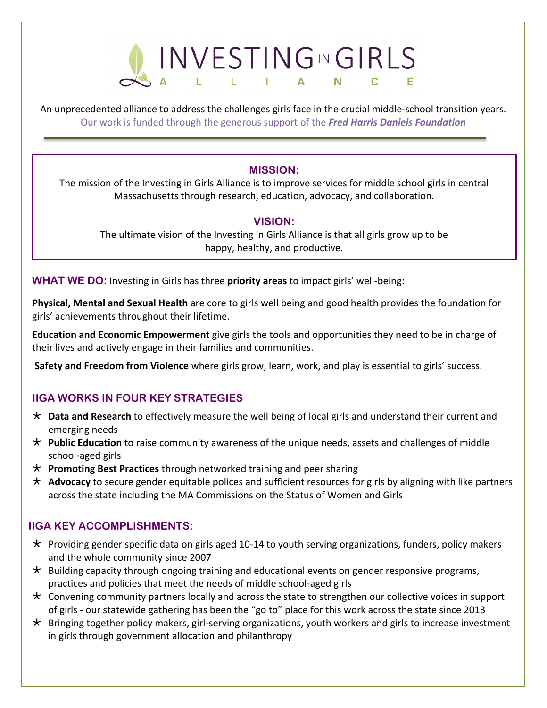

An unprecedented alliance to address the challenges girls face in the crucial middle-school transition years. Our work is funded through the generous support of the *Fred Harris Daniels Foundation*

#### **MISSION:**

The mission of the Investing in Girls Alliance is to improve services for middle school girls in central Massachusetts through research, education, advocacy, and collaboration.

#### **VISION:**

The ultimate vision of the Investing in Girls Alliance is that all girls grow up to be happy, healthy, and productive.

**WHAT WE DO:** Investing in Girls has three **priority areas** to impact girls' well-being:

**Physical, Mental and Sexual Health** are core to girls well being and good health provides the foundation for girls' achievements throughout their lifetime.

**Education and Economic Empowerment** give girls the tools and opportunities they need to be in charge of their lives and actively engage in their families and communities.

**Safety and Freedom from Violence** where girls grow, learn, work, and play is essential to girls' success.

# **IIGA WORKS IN FOUR KEY STRATEGIES**

- Ö **Data and Research** to effectively measure the well being of local girls and understand their current and emerging needs
- \* Public Education to raise community awareness of the unique needs, assets and challenges of middle school-aged girls
- Ö **Promoting Best Practices** through networked training and peer sharing
- \* Advocacy to secure gender equitable polices and sufficient resources for girls by aligning with like partners across the state including the MA Commissions on the Status of Women and Girls

# **IIGA KEY ACCOMPLISHMENTS:**

- $\star$  Providing gender specific data on girls aged 10-14 to youth serving organizations, funders, policy makers and the whole community since 2007
- $\star$  Building capacity through ongoing training and educational events on gender responsive programs, practices and policies that meet the needs of middle school-aged girls
- $\star$  Convening community partners locally and across the state to strengthen our collective voices in support of girls - our statewide gathering has been the "go to" place for this work across the state since 2013
- $\star$  Bringing together policy makers, girl-serving organizations, youth workers and girls to increase investment in girls through government allocation and philanthropy